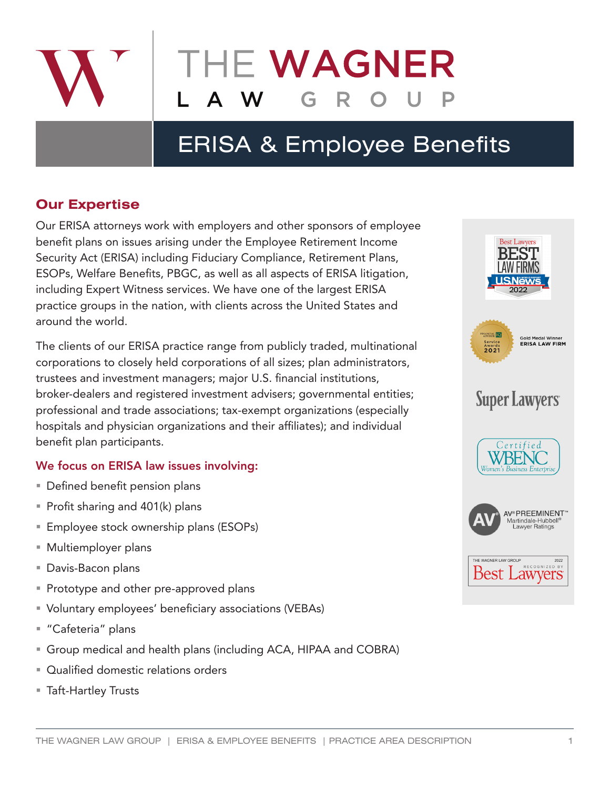

# ERISA & Employee Benefits

## **Our Expertise**

Our ERISA attorneys work with employers and other sponsors of employee benefit plans on issues arising under the Employee Retirement Income Security Act (ERISA) including Fiduciary Compliance, Retirement Plans, ESOPs, Welfare Benefits, PBGC, as well as all aspects of ERISA litigation, including Expert Witness services. We have one of the largest ERISA practice groups in the nation, with clients across the United States and around the world.

The clients of our ERISA practice range from publicly traded, multinational corporations to closely held corporations of all sizes; plan administrators, trustees and investment managers; major U.S. financial institutions, broker-dealers and registered investment advisers; governmental entities; professional and trade associations; tax-exempt organizations (especially hospitals and physician organizations and their affiliates); and individual benefit plan participants.

## We focus on ERISA law issues involving:

- **Defined benefit pension plans**
- Profit sharing and  $401(k)$  plans
- **Employee stock ownership plans (ESOPs)**
- Multiemployer plans
- Davis-Bacon plans
- **Prototype and other pre-approved plans**
- Voluntary employees' beneficiary associations (VEBAs)
- "Cafeteria" plans
- Group medical and health plans (including ACA, HIPAA and COBRA)
- **Qualified domestic relations orders**
- Taft-Hartley Trusts

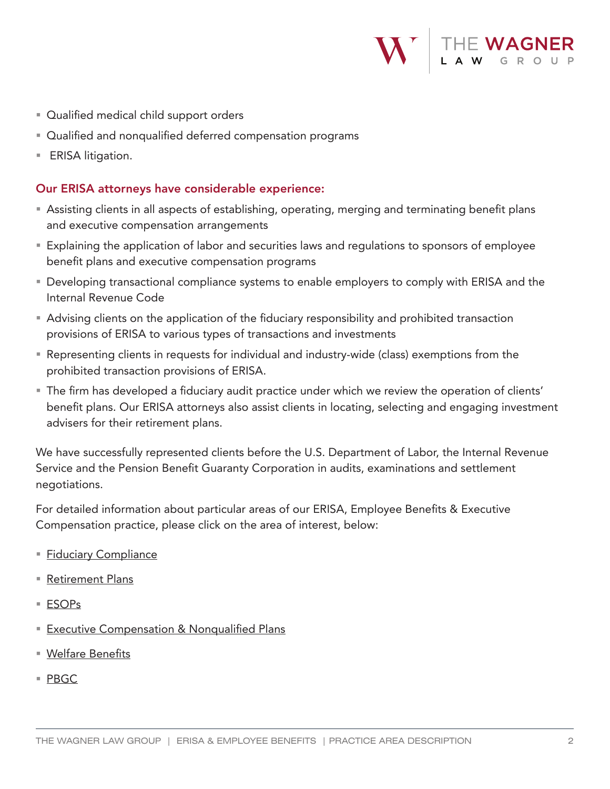

- **Qualified medical child support orders**
- Qualified and nonqualified deferred compensation programs
- **ERISA** litigation.

### Our ERISA attorneys have considerable experience:

- Assisting clients in all aspects of establishing, operating, merging and terminating benefit plans and executive compensation arrangements
- Explaining the application of labor and securities laws and regulations to sponsors of employee benefit plans and executive compensation programs
- **Developing transactional compliance systems to enable employers to comply with ERISA and the** Internal Revenue Code
- Advising clients on the application of the fiduciary responsibility and prohibited transaction provisions of ERISA to various types of transactions and investments
- Representing clients in requests for individual and industry-wide (class) exemptions from the prohibited transaction provisions of ERISA.
- The firm has developed a fiduciary audit practice under which we review the operation of clients' benefit plans. Our ERISA attorneys also assist clients in locating, selecting and engaging investment advisers for their retirement plans.

We have successfully represented clients before the U.S. Department of Labor, the Internal Revenue Service and the Pension Benefit Guaranty Corporation in audits, examinations and settlement negotiations.

For detailed information about particular areas of our ERISA, Employee Benefits & Executive Compensation practice, please click on the area of interest, below:

- **[Fiduciary Compliance](https://www.wagnerlawgroup.com/practice-areas/fiduciary-compliance)**
- [Retirement Plans](https://www.wagnerlawgroup.com/practice-areas/retirement-plans)
- [ESOPs](https://www.wagnerlawgroup.com/practice-areas/esop)
- **[Executive Compensation & Nonqualified Plans](https://www.wagnerlawgroup.com/practice-areas/executive-compensation)**
- [Welfare Benefits](https://www.wagnerlawgroup.com/practice-areas/welfare)
- [PBGC](https://www.wagnerlawgroup.com/practice-areas/pbgc)